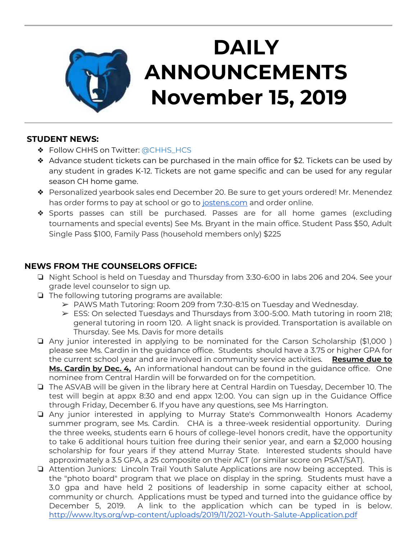

# **DAILY ANNOUNCEMENTS November 15, 2019**

#### **STUDENT NEWS:**

- ◆ Follow CHHS on Twitter: [@CHHS\\_HCS](https://twitter.com/CHHS_HCS)
- $\triangleleft$  Advance student tickets can be purchased in the main office for \$2. Tickets can be used by any student in grades K-12. Tickets are not game specific and can be used for any regular season CH home game.
- ❖ Personalized yearbook sales end December 20. Be sure to get yours ordered! Mr. Menendez has order forms to pay at school or go to [jostens.com](http://jostens.com/) and order online.
- ❖ Sports passes can still be purchased. Passes are for all home games (excluding tournaments and special events) See Ms. Bryant in the main office. Student Pass \$50, Adult Single Pass \$100, Family Pass (household members only) \$225

## **NEWS FROM THE COUNSELORS OFFICE:**

- ❏ Night School is held on Tuesday and Thursday from 3:30-6:00 in labs 206 and 204. See your grade level counselor to sign up.
- ❏ The following tutoring programs are available:
	- $\triangleright$  PAWS Math Tutoring: Room 209 from 7:30-8:15 on Tuesday and Wednesday.
	- $\triangleright$  ESS: On selected Tuesdays and Thursdays from 3:00-5:00. Math tutoring in room 218; general tutoring in room 120. A light snack is provided. Transportation is available on Thursday. See Ms. Davis for more details
- ❏ Any junior interested in applying to be nominated for the Carson Scholarship (\$1,000 ) please see Ms. Cardin in the guidance office. Students should have a 3.75 or higher GPA for the current school year and are involved in community service activities. **Resume due to Ms. Cardin by Dec. 4,** An informational handout can be found in the guidance office. One nominee from Central Hardin will be forwarded on for the competition.
- ❏ The ASVAB will be given in the library here at Central Hardin on Tuesday, December 10. The test will begin at appx 8:30 and end appx 12:00. You can sign up in the Guidance Office through Friday, December 6. If you have any questions, see Ms Harrington.
- ❏ Any junior interested in applying to Murray State's Commonwealth Honors Academy summer program, see Ms. Cardin. CHA is a three-week residential opportunity. During the three weeks, students earn 6 hours of college-level honors credit, have the opportunity to take 6 additional hours tuition free during their senior year, and earn a \$2,000 housing scholarship for four years if they attend Murray State. Interested students should have approximately a 3.5 GPA, a 25 composite on their ACT (or similar score on PSAT/SAT).
- ❏ Attention Juniors: Lincoln Trail Youth Salute Applications are now being accepted. This is the "photo board" program that we place on display in the spring. Students must have a 3.0 gpa and have held 2 positions of leadership in some capacity either at school, community or church. Applications must be typed and turned into the guidance office by December 5, 2019. A link to the application which can be typed in is below. <http://www.ltys.org/wp-content/uploads/2019/11/2021-Youth-Salute-Application.pdf>